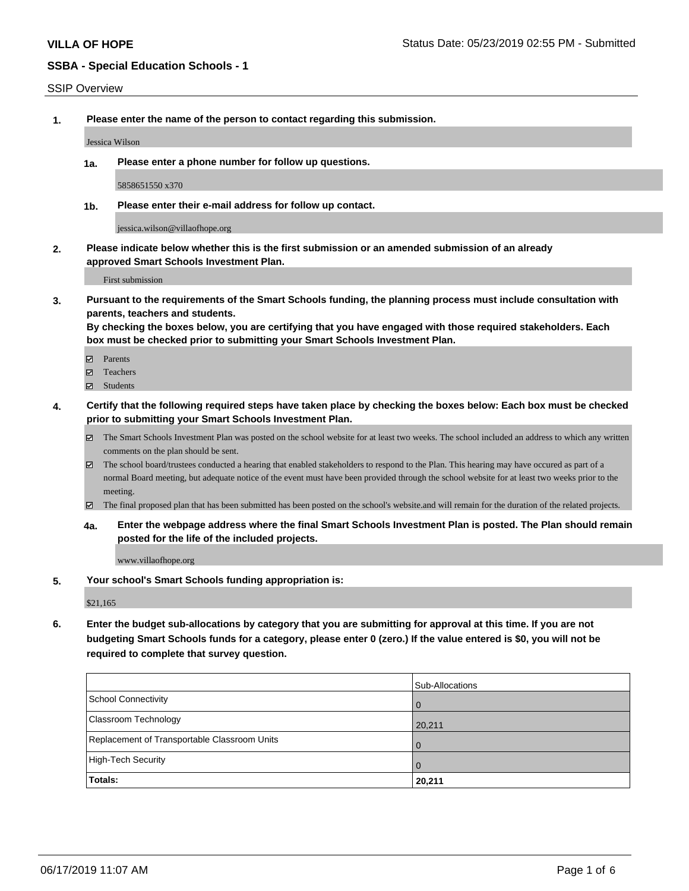#### SSIP Overview

**1. Please enter the name of the person to contact regarding this submission.**

Jessica Wilson

**1a. Please enter a phone number for follow up questions.**

5858651550 x370

**1b. Please enter their e-mail address for follow up contact.**

jessica.wilson@villaofhope.org

**2. Please indicate below whether this is the first submission or an amended submission of an already approved Smart Schools Investment Plan.**

First submission

**3. Pursuant to the requirements of the Smart Schools funding, the planning process must include consultation with parents, teachers and students.**

**By checking the boxes below, you are certifying that you have engaged with those required stakeholders. Each box must be checked prior to submitting your Smart Schools Investment Plan.**

- Parents
- Teachers
- Students
- **4. Certify that the following required steps have taken place by checking the boxes below: Each box must be checked prior to submitting your Smart Schools Investment Plan.**
	- The Smart Schools Investment Plan was posted on the school website for at least two weeks. The school included an address to which any written comments on the plan should be sent.
	- The school board/trustees conducted a hearing that enabled stakeholders to respond to the Plan. This hearing may have occured as part of a normal Board meeting, but adequate notice of the event must have been provided through the school website for at least two weeks prior to the meeting.
	- The final proposed plan that has been submitted has been posted on the school's website.and will remain for the duration of the related projects.
	- **4a. Enter the webpage address where the final Smart Schools Investment Plan is posted. The Plan should remain posted for the life of the included projects.**

www.villaofhope.org

**5. Your school's Smart Schools funding appropriation is:**

\$21,165

**6. Enter the budget sub-allocations by category that you are submitting for approval at this time. If you are not budgeting Smart Schools funds for a category, please enter 0 (zero.) If the value entered is \$0, you will not be required to complete that survey question.**

|                                              | Sub-Allocations |
|----------------------------------------------|-----------------|
| School Connectivity                          | . O             |
| <b>Classroom Technology</b>                  | 20,211          |
| Replacement of Transportable Classroom Units | $\overline{0}$  |
| High-Tech Security                           | . O             |
| Totals:                                      | 20,211          |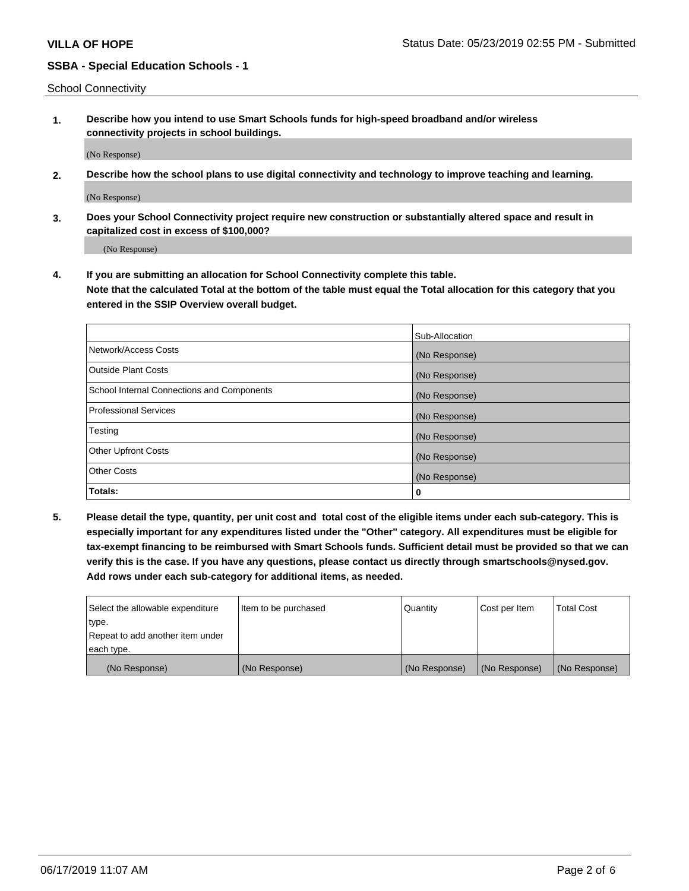School Connectivity

**1. Describe how you intend to use Smart Schools funds for high-speed broadband and/or wireless connectivity projects in school buildings.**

(No Response)

**2. Describe how the school plans to use digital connectivity and technology to improve teaching and learning.**

(No Response)

**3. Does your School Connectivity project require new construction or substantially altered space and result in capitalized cost in excess of \$100,000?**

(No Response)

**4. If you are submitting an allocation for School Connectivity complete this table. Note that the calculated Total at the bottom of the table must equal the Total allocation for this category that you entered in the SSIP Overview overall budget.** 

|                                            | Sub-Allocation |
|--------------------------------------------|----------------|
| Network/Access Costs                       | (No Response)  |
| Outside Plant Costs                        | (No Response)  |
| School Internal Connections and Components | (No Response)  |
| <b>Professional Services</b>               | (No Response)  |
| Testing                                    | (No Response)  |
| Other Upfront Costs                        | (No Response)  |
| <b>Other Costs</b>                         | (No Response)  |
| Totals:                                    | 0              |

**5. Please detail the type, quantity, per unit cost and total cost of the eligible items under each sub-category. This is especially important for any expenditures listed under the "Other" category. All expenditures must be eligible for tax-exempt financing to be reimbursed with Smart Schools funds. Sufficient detail must be provided so that we can verify this is the case. If you have any questions, please contact us directly through smartschools@nysed.gov. Add rows under each sub-category for additional items, as needed.**

| each type.<br>(No Response)      | (No Response)          | (No Response) | (No Response) | (No Response)     |
|----------------------------------|------------------------|---------------|---------------|-------------------|
|                                  |                        |               |               |                   |
| Repeat to add another item under |                        |               |               |                   |
| ∣type.                           |                        |               |               |                   |
| Select the allowable expenditure | I Item to be purchased | Quantity      | Cost per Item | <b>Total Cost</b> |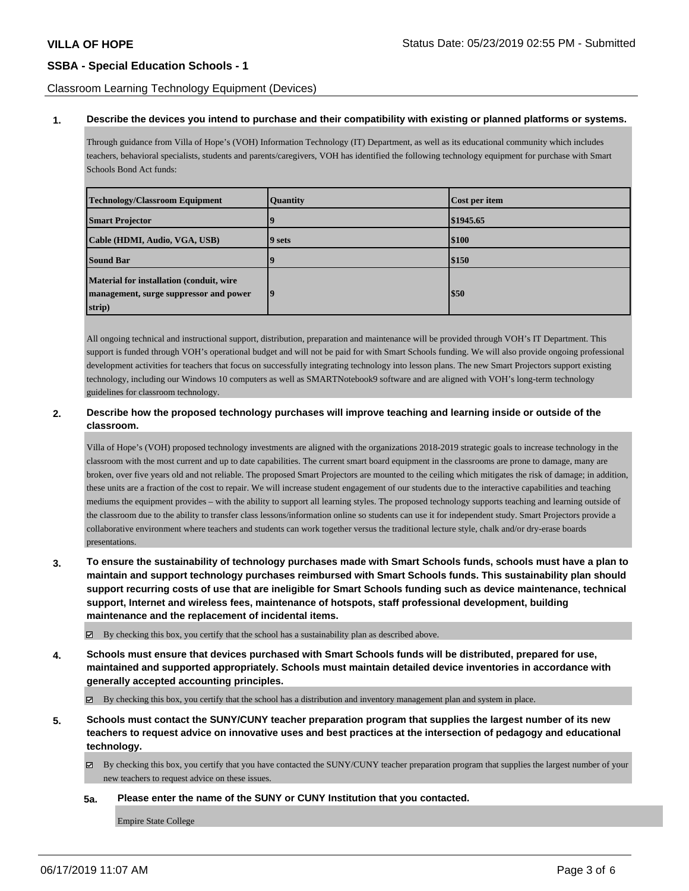### Classroom Learning Technology Equipment (Devices)

#### **1. Describe the devices you intend to purchase and their compatibility with existing or planned platforms or systems.**

Through guidance from Villa of Hope's (VOH) Information Technology (IT) Department, as well as its educational community which includes teachers, behavioral specialists, students and parents/caregivers, VOH has identified the following technology equipment for purchase with Smart Schools Bond Act funds:

| <b>Technology/Classroom Equipment</b>                                                        | <b>Quantity</b>  | Cost per item |
|----------------------------------------------------------------------------------------------|------------------|---------------|
| <b>Smart Projector</b>                                                                       |                  | \$1945.65     |
| Cable (HDMI, Audio, VGA, USB)                                                                | 9 sets           | \$100         |
| <b>Sound Bar</b>                                                                             |                  | \$150         |
| Material for installation (conduit, wire<br>management, surge suppressor and power<br>strip) | $\boldsymbol{q}$ | <b>S50</b>    |

All ongoing technical and instructional support, distribution, preparation and maintenance will be provided through VOH's IT Department. This support is funded through VOH's operational budget and will not be paid for with Smart Schools funding. We will also provide ongoing professional development activities for teachers that focus on successfully integrating technology into lesson plans. The new Smart Projectors support existing technology, including our Windows 10 computers as well as SMARTNotebook9 software and are aligned with VOH's long-term technology guidelines for classroom technology.

### **2. Describe how the proposed technology purchases will improve teaching and learning inside or outside of the classroom.**

Villa of Hope's (VOH) proposed technology investments are aligned with the organizations 2018-2019 strategic goals to increase technology in the classroom with the most current and up to date capabilities. The current smart board equipment in the classrooms are prone to damage, many are broken, over five years old and not reliable. The proposed Smart Projectors are mounted to the ceiling which mitigates the risk of damage; in addition, these units are a fraction of the cost to repair. We will increase student engagement of our students due to the interactive capabilities and teaching mediums the equipment provides – with the ability to support all learning styles. The proposed technology supports teaching and learning outside of the classroom due to the ability to transfer class lessons/information online so students can use it for independent study. Smart Projectors provide a collaborative environment where teachers and students can work together versus the traditional lecture style, chalk and/or dry-erase boards presentations.

**3. To ensure the sustainability of technology purchases made with Smart Schools funds, schools must have a plan to maintain and support technology purchases reimbursed with Smart Schools funds. This sustainability plan should support recurring costs of use that are ineligible for Smart Schools funding such as device maintenance, technical support, Internet and wireless fees, maintenance of hotspots, staff professional development, building maintenance and the replacement of incidental items.**

 $\boxtimes$  By checking this box, you certify that the school has a sustainability plan as described above.

- **4. Schools must ensure that devices purchased with Smart Schools funds will be distributed, prepared for use, maintained and supported appropriately. Schools must maintain detailed device inventories in accordance with generally accepted accounting principles.**
	- By checking this box, you certify that the school has a distribution and inventory management plan and system in place.
- **5. Schools must contact the SUNY/CUNY teacher preparation program that supplies the largest number of its new teachers to request advice on innovative uses and best practices at the intersection of pedagogy and educational technology.**
	- By checking this box, you certify that you have contacted the SUNY/CUNY teacher preparation program that supplies the largest number of your new teachers to request advice on these issues.
	- **5a. Please enter the name of the SUNY or CUNY Institution that you contacted.**

Empire State College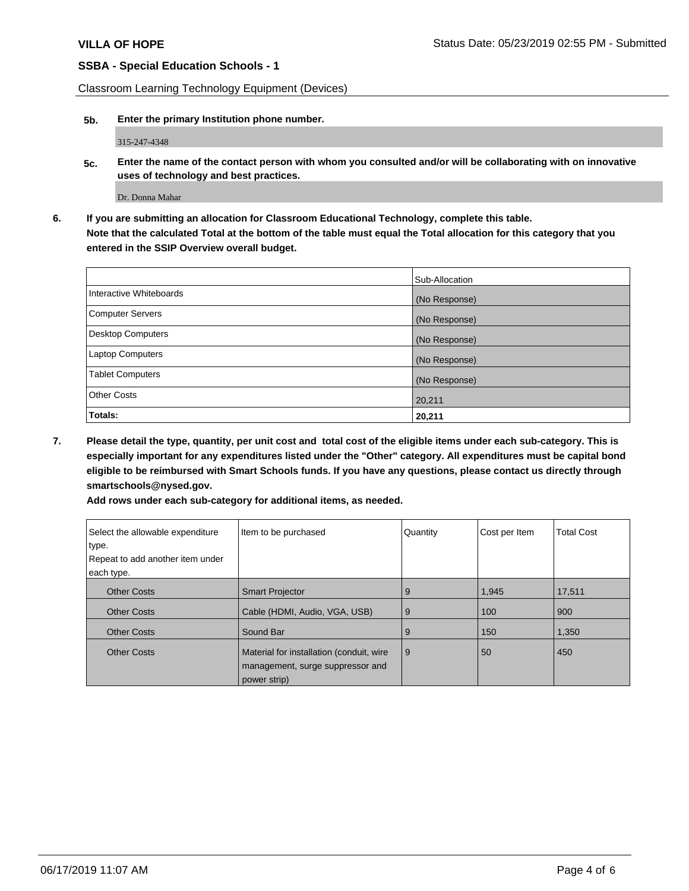Classroom Learning Technology Equipment (Devices)

**5b. Enter the primary Institution phone number.**

315-247-4348

**5c. Enter the name of the contact person with whom you consulted and/or will be collaborating with on innovative uses of technology and best practices.**

Dr. Donna Mahar

**6. If you are submitting an allocation for Classroom Educational Technology, complete this table. Note that the calculated Total at the bottom of the table must equal the Total allocation for this category that you entered in the SSIP Overview overall budget.**

|                          | Sub-Allocation |
|--------------------------|----------------|
| Interactive Whiteboards  | (No Response)  |
| <b>Computer Servers</b>  | (No Response)  |
| <b>Desktop Computers</b> | (No Response)  |
| <b>Laptop Computers</b>  | (No Response)  |
| <b>Tablet Computers</b>  | (No Response)  |
| <b>Other Costs</b>       | 20,211         |
| Totals:                  | 20,211         |

**7. Please detail the type, quantity, per unit cost and total cost of the eligible items under each sub-category. This is especially important for any expenditures listed under the "Other" category. All expenditures must be capital bond eligible to be reimbursed with Smart Schools funds. If you have any questions, please contact us directly through smartschools@nysed.gov.**

| Add rows under each sub-category for additional items, as needed. |  |
|-------------------------------------------------------------------|--|
|-------------------------------------------------------------------|--|

| Select the allowable expenditure<br>type.<br>Repeat to add another item under<br>each type. | Item to be purchased                                                                         | Quantity | Cost per Item | <b>Total Cost</b> |
|---------------------------------------------------------------------------------------------|----------------------------------------------------------------------------------------------|----------|---------------|-------------------|
| <b>Other Costs</b>                                                                          | <b>Smart Projector</b>                                                                       | 9        | 1,945         | 17,511            |
| <b>Other Costs</b>                                                                          | Cable (HDMI, Audio, VGA, USB)                                                                | 9        | 100           | 900               |
| <b>Other Costs</b>                                                                          | Sound Bar                                                                                    | 9        | 150           | 1,350             |
| <b>Other Costs</b>                                                                          | Material for installation (conduit, wire<br>management, surge suppressor and<br>power strip) | 9        | 50            | 450               |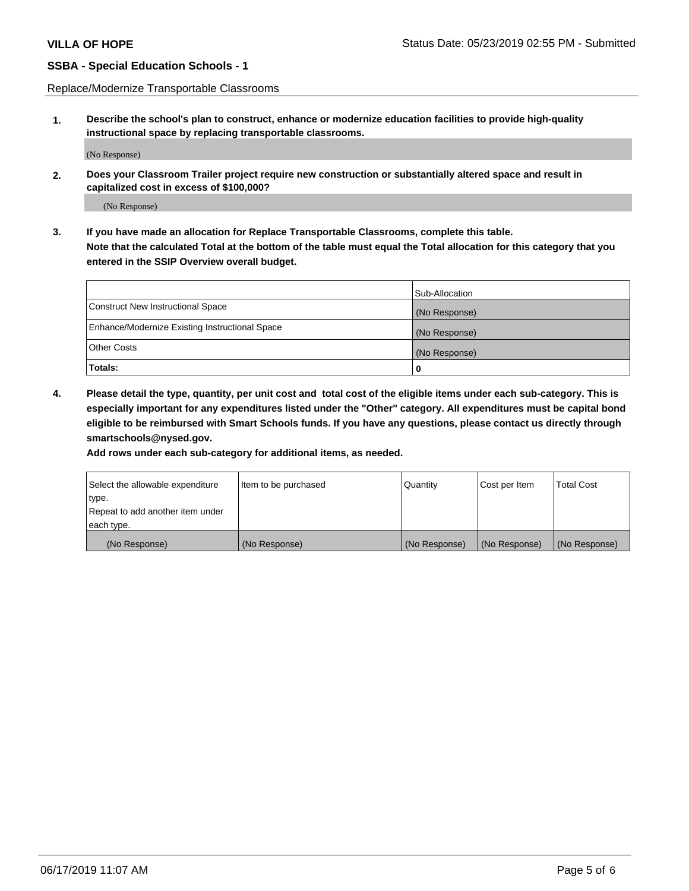Replace/Modernize Transportable Classrooms

**1. Describe the school's plan to construct, enhance or modernize education facilities to provide high-quality instructional space by replacing transportable classrooms.**

(No Response)

**2. Does your Classroom Trailer project require new construction or substantially altered space and result in capitalized cost in excess of \$100,000?**

(No Response)

**3. If you have made an allocation for Replace Transportable Classrooms, complete this table. Note that the calculated Total at the bottom of the table must equal the Total allocation for this category that you entered in the SSIP Overview overall budget.**

|                                                | Sub-Allocation |
|------------------------------------------------|----------------|
| Construct New Instructional Space              | (No Response)  |
| Enhance/Modernize Existing Instructional Space | (No Response)  |
| Other Costs                                    | (No Response)  |
| Totals:                                        | 0              |

**4. Please detail the type, quantity, per unit cost and total cost of the eligible items under each sub-category. This is especially important for any expenditures listed under the "Other" category. All expenditures must be capital bond eligible to be reimbursed with Smart Schools funds. If you have any questions, please contact us directly through smartschools@nysed.gov.**

**Add rows under each sub-category for additional items, as needed.**

| Select the allowable expenditure | Item to be purchased | Quantity      | Cost per Item | <b>Total Cost</b> |
|----------------------------------|----------------------|---------------|---------------|-------------------|
| 'type.                           |                      |               |               |                   |
| Repeat to add another item under |                      |               |               |                   |
| each type.                       |                      |               |               |                   |
| (No Response)                    | (No Response)        | (No Response) | (No Response) | (No Response)     |